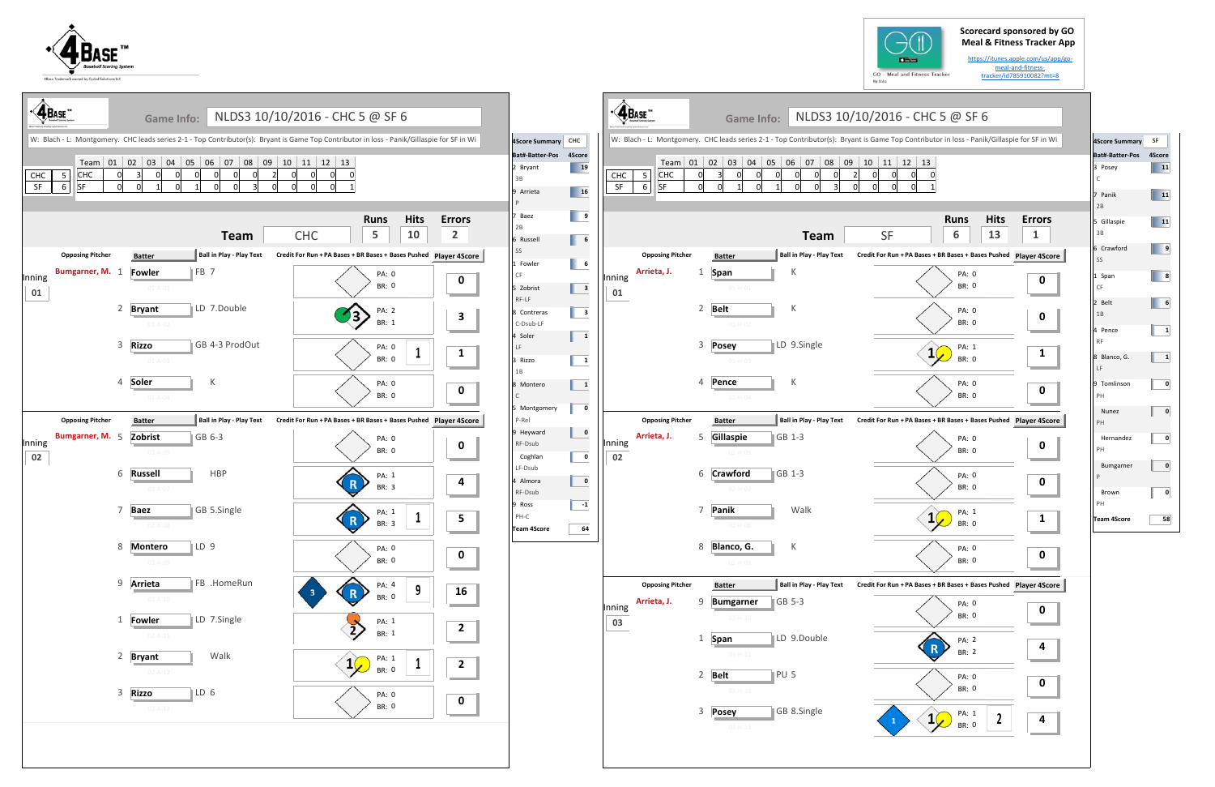## **Scorecard sponsored by GO Meal & Fitness Tracker App**





| $\triangleleft$ $\cdot$ $\overline{\text{AB}_{\text{ASE}}}$ |                                                                                                                                                                                         | Game Info:                                       | NLDS3 10/10/2016 - CHC 5 @ SF 6                                                                                                                                             | 4Score Summary CHC                                                                                                                                                                                                                | $\cdot$ $\mathbf{\hat{A}}$ BASE |                                                                                                                                                                                                                                                         |                                                                                                                                             | Game Info: NLDS3 10/10/2016 - CHC 5 @ SF 6                                                                                  |                                 |  |  |  |
|-------------------------------------------------------------|-----------------------------------------------------------------------------------------------------------------------------------------------------------------------------------------|--------------------------------------------------|-----------------------------------------------------------------------------------------------------------------------------------------------------------------------------|-----------------------------------------------------------------------------------------------------------------------------------------------------------------------------------------------------------------------------------|---------------------------------|---------------------------------------------------------------------------------------------------------------------------------------------------------------------------------------------------------------------------------------------------------|---------------------------------------------------------------------------------------------------------------------------------------------|-----------------------------------------------------------------------------------------------------------------------------|---------------------------------|--|--|--|
| CHC<br>CHC<br>5<br>SF<br>SF<br>6                            | W: Blach - L: Montgomery. CHC leads series 2-1 - Top Contributor(s): Bryant is Game Top Contributor in loss - Panik/Gillaspie for SF in Wi<br> 05 06 07 08<br>$\text{Team}$ 01 02 03 04 |                                                  |                                                                                                                                                                             |                                                                                                                                                                                                                                   |                                 | W: Blach - L: Montgomery. CHC leads series 2-1 - Top Contributor(s): Bryant is Game Top Contributor in loss - Panik/Gillaspie for SF in Wi<br>Team 01 02 03<br>$ 04\rangle$<br>$\Omega$<br>CHC<br>$5\overline{5}$<br><b>CHC</b><br><b>SF</b><br>SF<br>6 |                                                                                                                                             |                                                                                                                             |                                 |  |  |  |
|                                                             |                                                                                                                                                                                         | <b>Team</b>                                      | <b>Hits</b><br><b>Errors</b><br><b>Runs</b><br>10<br>$\overline{2}$<br>5<br><b>CHC</b>                                                                                      | $\begin{array}{ c c } \hline \rule{0.2cm}{.4cm} & \rule{0.2cm}{.4cm} \end{array}$<br>7 Baez<br>2B<br>$\begin{array}{ c c } \hline \end{array}$ 6<br>6 Russell                                                                     |                                 |                                                                                                                                                                                                                                                         | <b>Team</b>                                                                                                                                 | <b>Hits</b><br><b>Runs</b><br>13<br>6<br><b>SF</b>                                                                          | <b>Errors</b><br>$\mathbf{1}$   |  |  |  |
| <b>Opposing Pitcher</b><br>Bumgarner, M. 1<br>Inning<br>01  | <b>Batter</b><br>Fowler<br>$01 - A - 01$<br>2 Bryant<br>$01 - A - 02$                                                                                                                   | Ball in Play - Play Text<br>FB 7<br>LD 7.Double  | Credit For Run + PA Bases + BR Bases + Bases Pushed Player 4Score<br><b>PA: 0</b><br>$\mathbf 0$<br><b>BR: 0</b><br>PA: 2<br>23)<br>$\mathbf{3}$<br>BR: 1                   | SS<br>$\begin{array}{ c c c }\n\hline\n& 6\n\end{array}$<br>1 Fowler<br><b>CF</b><br>$\begin{array}{ c c } \hline \end{array}$ 3<br>5 Zobrist<br>RF-LF<br>$\begin{array}{ c c } \hline \end{array}$ 3<br>8 Contreras<br>C-Dsub-LF | Inning<br>01                    | <b>Opposing Pitcher</b><br>Arrieta, J.<br>$\mathbf{1}$                                                                                                                                                                                                  | <b>Batter</b><br><b>Ball in Play - Play Text</b><br>Span<br>K<br>$01 - H - 01$<br>2 Belt<br>К<br>$01 - H - 02$                              | Credit For Run + PA Bases + BR Bases + Bases Pushed Player 4Score<br>PA: 0<br><b>BR: 0</b><br>PA: 0<br>BR: 0                | $\mathbf 0$<br>$\mathbf 0$      |  |  |  |
|                                                             | 3 Rizzo<br>$01 - A - 03$<br>4 Soler<br>$01 - A - 04$                                                                                                                                    | GB 4-3 ProdOut<br>К                              | <b>PA: 0</b><br>$\mathbf{1}$<br>BR: 0<br><b>PA: 0</b><br>$\mathbf 0$<br><b>BR: 0</b>                                                                                        | $\overline{\mathbf{1}}$<br>4 Soler<br>LF<br>3 Rizzo<br>$\mathbf{1}$<br>1B<br>$\mathbf{1}$<br>8 Montero<br>$\mathsf{C}$<br>5 Montgomery<br>$\mathbf 0$                                                                             |                                 |                                                                                                                                                                                                                                                         | LD 9.Single<br>3 Posey<br>$01-H-03$<br>$\,$ K<br>4 Pence<br>$01 - H - 04$                                                                   | PA: 1<br>$1\sqrt{ }$<br><b>BR: 0</b><br>PA: 0<br>BR: 0                                                                      | $\mathbf{1}$<br>$\mathbf 0$     |  |  |  |
| <b>Opposing Pitcher</b><br>Bumgarner, M. 5<br>Inning<br>02  | <b>Batter</b><br>Zobrist<br>$02 - A - 05$<br>6 Russell<br>$02 - A - 07$                                                                                                                 | Ball in Play - Play Text<br>GB 6-3<br><b>HBP</b> | Credit For Run + PA Bases + BR Bases + Bases Pushed Player 4Score<br><b>PA: 0</b><br>$\mathbf 0$<br><b>BR: 0</b><br>PA: 1<br>4<br>(R)<br>BR: 3                              | P-Rel<br>$\mathbf 0$<br>9 Heyward<br>RF-Dsub<br>$\bullet$<br>Coghlan<br>LF-Dsub<br>$\mathbf 0$<br>4 Almora<br>RF-Dsub                                                                                                             | Inning<br>02                    | <b>Opposing Pitcher</b><br>Arrieta, J.                                                                                                                                                                                                                  | <b>Ball in Play - Play Text</b><br><b>Batter</b><br>5 Gillaspie<br>GB 1-3<br>6 Crawford<br>GB 1-3<br>$02 - H - 07$                          | Credit For Run + PA Bases + BR Bases + Bases Pushed Player 4Score<br>PA: 0<br>BR: 0<br>PA: 0<br>BR: 0                       | $\mathbf 0$<br>$\mathbf 0$      |  |  |  |
|                                                             | 7 Baez<br>$02 - A - 08$<br>8 Montero<br>$02 - A - 09$<br>9 Arrieta                                                                                                                      | GB 5.Single<br>$\mathbb{ID}9$<br>FB .HomeRun     | PA: 1<br>$5\phantom{a}$<br>$\mathbf R$<br>$\perp$<br><b>BR: 3</b><br>PA: 0<br>$\mathbf 0$<br><b>BR: 0</b>                                                                   | 9 Ross<br>$-1$<br>PH-C<br>64<br><b>Team 4Score</b>                                                                                                                                                                                |                                 | <b>Opposing Pitcher</b>                                                                                                                                                                                                                                 | 7 Panik<br>Walk<br>$02 - H - 08$<br>8 Blanco, G.<br>К<br>02-H-09<br>Ball in Play - Play Text                                                | PA: 1<br>$1\sqrt{ }$<br><b>BR: 0</b><br>PA: 0<br>BR: 0<br>Credit For Run + PA Bases + BR Bases + Bases Pushed Player 4Score | $\mathbf{1}$<br>$\mathbf 0$     |  |  |  |
|                                                             | $02 - A - 10$<br>1 <b>Fowler</b><br>$02 - A - 11$<br>2 Bryant<br>$02 - A - 12$                                                                                                          | LD 7.Single<br>Walk                              | PA: 4<br>9<br>16<br>${\bf R}$<br>$\mathbf{3}$<br><b>BR: 0</b><br>PA: 1<br>$\mathbf{2}$<br>$\overline{2}$<br>BR: 1<br>PA: 1<br>$1\sqrt{ }$<br>$\overline{2}$<br><b>BR: 0</b> |                                                                                                                                                                                                                                   | Inning<br>03                    | Arrieta, J.<br>$\mathbf{1}$                                                                                                                                                                                                                             | <b>Batter</b><br>9 Bumgarner<br>$\blacksquare$ GB 5-3<br>$03 - H - 10$<br>LD 9.Double<br>Span<br>$03 - H - 11$<br>PU <sub>5</sub><br>2 Belt | PA: 0<br>BR: 0<br>PA: 2<br>$\mathbf R$<br>BR: 2<br>PA: 0<br>BR: 0                                                           | $\mathbf 0$<br>4<br>$\mathbf 0$ |  |  |  |
|                                                             | 3 Rizzo<br>$02 - A - 13$                                                                                                                                                                | $\mathbb{L}$ D 6                                 | <b>PA: 0</b><br>$\mathbf 0$<br>BR: 0                                                                                                                                        |                                                                                                                                                                                                                                   |                                 |                                                                                                                                                                                                                                                         | $03 - H - 12$<br>GB 8.Single<br>3 Posey<br>$03 - H - 13$                                                                                    | PA: 1<br>$1\sqrt{ }$<br><b>BR: 0</b>                                                                                        | 4                               |  |  |  |



https://itunes.apple.com/us/app/go‐ meal‐and‐fitness‐ tracker/id785910082?mt=8

| <b>4Score Summary</b>   | SF           |
|-------------------------|--------------|
| Bat#-Batter-Pos 4Score  |              |
| 3 Posey<br>$\mathsf{C}$ | 11           |
| 7 Panik<br>2B           | 11           |
| 5 Gillaspie<br>3B       | 11           |
| 6 Crawford<br>SS        | 9            |
| 1 Span<br>CF            | 8            |
| 2 Belt<br>1B            | 6            |
| 4 Pence<br><b>RF</b>    | 1            |
| 8 Blanco, G.<br>LF      | $\mathbf{1}$ |
| 9 Tomlinson<br>PH       | 0            |
| <b>Nunez</b><br>PH      | 0            |
| Hernandez<br>PH         | 0            |
| Bumgarner<br>P          | 0            |
| Brown<br>PH             | 0            |
| <b>Team 4Score</b>      | 58           |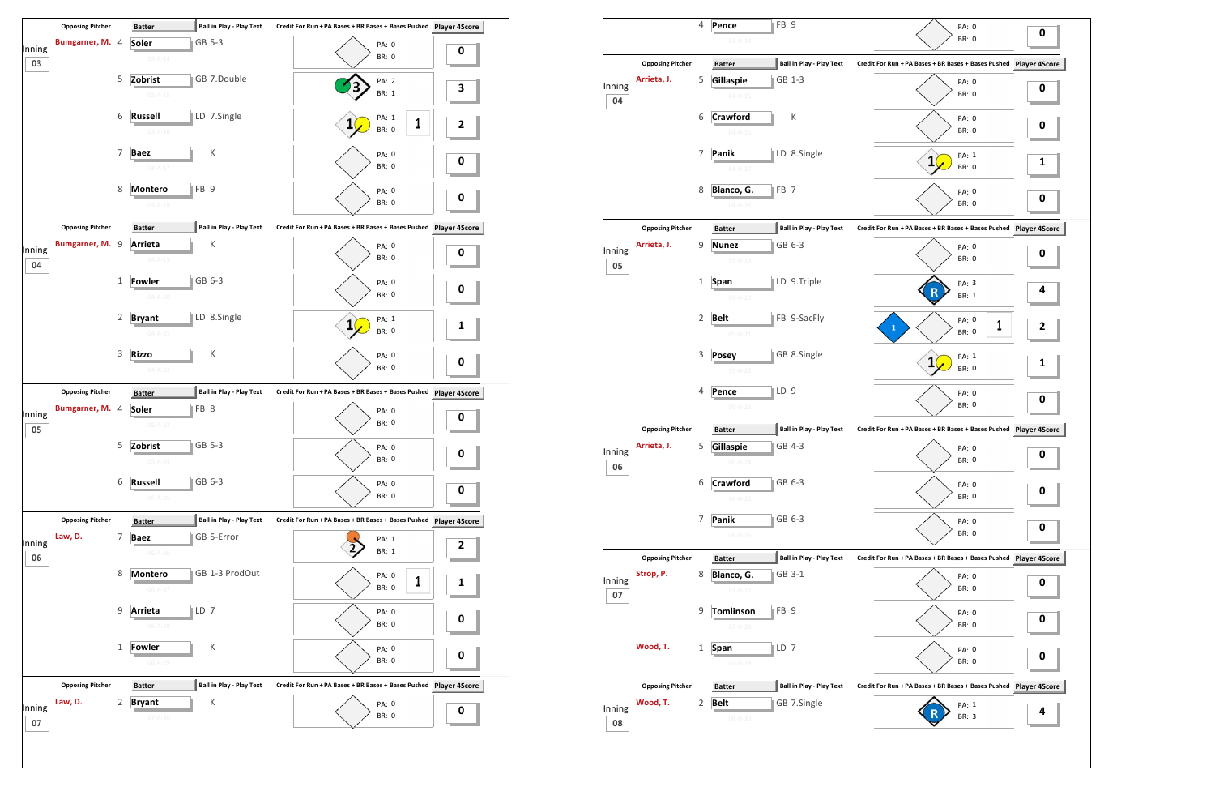

|                         |                                        | Pence                                            | PA: 0                                                                                                                                                                                                                                                                                                                        |                                                                                                                                                                                                                                                                                               |
|-------------------------|----------------------------------------|--------------------------------------------------|------------------------------------------------------------------------------------------------------------------------------------------------------------------------------------------------------------------------------------------------------------------------------------------------------------------------------|-----------------------------------------------------------------------------------------------------------------------------------------------------------------------------------------------------------------------------------------------------------------------------------------------|
|                         |                                        | $03 - H - 14$                                    | <b>BR: 0</b>                                                                                                                                                                                                                                                                                                                 | 0                                                                                                                                                                                                                                                                                             |
| <b>Opposing Pitcher</b> |                                        | Ball in Play - Play Text<br><b>Batter</b>        | Credit For Run + PA Bases + BR Bases + Bases Pushed Player 4S                                                                                                                                                                                                                                                                |                                                                                                                                                                                                                                                                                               |
| Arrieta, J.             | 5                                      |                                                  |                                                                                                                                                                                                                                                                                                                              |                                                                                                                                                                                                                                                                                               |
|                         |                                        |                                                  | BR: 0                                                                                                                                                                                                                                                                                                                        | 0                                                                                                                                                                                                                                                                                             |
|                         |                                        |                                                  |                                                                                                                                                                                                                                                                                                                              |                                                                                                                                                                                                                                                                                               |
|                         |                                        |                                                  | PA: 0                                                                                                                                                                                                                                                                                                                        | 0                                                                                                                                                                                                                                                                                             |
|                         |                                        | $04 - H - 16$                                    |                                                                                                                                                                                                                                                                                                                              |                                                                                                                                                                                                                                                                                               |
|                         | 7                                      | LD 8.Single<br>Panik                             | PA: 1                                                                                                                                                                                                                                                                                                                        |                                                                                                                                                                                                                                                                                               |
|                         |                                        | $04 - H - 17$                                    | BR: 0                                                                                                                                                                                                                                                                                                                        | 1                                                                                                                                                                                                                                                                                             |
|                         | 8                                      | $\parallel$ FB 7                                 |                                                                                                                                                                                                                                                                                                                              |                                                                                                                                                                                                                                                                                               |
|                         |                                        | $04 - H - 18$                                    | BR: 0                                                                                                                                                                                                                                                                                                                        | 0                                                                                                                                                                                                                                                                                             |
|                         |                                        |                                                  |                                                                                                                                                                                                                                                                                                                              |                                                                                                                                                                                                                                                                                               |
|                         |                                        |                                                  |                                                                                                                                                                                                                                                                                                                              |                                                                                                                                                                                                                                                                                               |
|                         |                                        |                                                  |                                                                                                                                                                                                                                                                                                                              | 0                                                                                                                                                                                                                                                                                             |
|                         |                                        |                                                  |                                                                                                                                                                                                                                                                                                                              |                                                                                                                                                                                                                                                                                               |
|                         | 1                                      | LD 9.Triple<br>Span                              | PA: 3                                                                                                                                                                                                                                                                                                                        | 4                                                                                                                                                                                                                                                                                             |
|                         |                                        | $05 - H - 20$                                    | BR: 1                                                                                                                                                                                                                                                                                                                        |                                                                                                                                                                                                                                                                                               |
|                         | $\overline{2}$                         | FB 9-SacFly<br><b>Belt</b>                       |                                                                                                                                                                                                                                                                                                                              |                                                                                                                                                                                                                                                                                               |
|                         |                                        | $05-H-21$                                        | BR: 0                                                                                                                                                                                                                                                                                                                        | 2                                                                                                                                                                                                                                                                                             |
|                         |                                        |                                                  |                                                                                                                                                                                                                                                                                                                              |                                                                                                                                                                                                                                                                                               |
|                         |                                        |                                                  | BR: 0                                                                                                                                                                                                                                                                                                                        | 1                                                                                                                                                                                                                                                                                             |
|                         |                                        |                                                  |                                                                                                                                                                                                                                                                                                                              |                                                                                                                                                                                                                                                                                               |
|                         |                                        |                                                  |                                                                                                                                                                                                                                                                                                                              | 0                                                                                                                                                                                                                                                                                             |
|                         |                                        |                                                  |                                                                                                                                                                                                                                                                                                                              |                                                                                                                                                                                                                                                                                               |
| <b>Opposing Pitcher</b> |                                        | <b>Ball in Play - Play Text</b><br><b>Batter</b> | Credit For Run + PA Bases + BR Bases + Bases Pushed Player 4S                                                                                                                                                                                                                                                                |                                                                                                                                                                                                                                                                                               |
| Arrieta, J.             | 5                                      | GB 4-3<br>Gillaspie                              | PA: 0                                                                                                                                                                                                                                                                                                                        | 0                                                                                                                                                                                                                                                                                             |
|                         |                                        | $06 - H - 24$                                    | BR: 0                                                                                                                                                                                                                                                                                                                        |                                                                                                                                                                                                                                                                                               |
|                         | 6                                      | <b>Crawford</b><br>GB 6-3                        |                                                                                                                                                                                                                                                                                                                              |                                                                                                                                                                                                                                                                                               |
|                         |                                        | $06-H-25$                                        | BR: 0                                                                                                                                                                                                                                                                                                                        | 0                                                                                                                                                                                                                                                                                             |
|                         |                                        |                                                  |                                                                                                                                                                                                                                                                                                                              |                                                                                                                                                                                                                                                                                               |
|                         |                                        |                                                  |                                                                                                                                                                                                                                                                                                                              | 0                                                                                                                                                                                                                                                                                             |
|                         |                                        |                                                  |                                                                                                                                                                                                                                                                                                                              |                                                                                                                                                                                                                                                                                               |
| <b>Opposing Pitcher</b> |                                        | Ball in Play - Play Text<br><b>Batter</b>        | Credit For Run + PA Bases + BR Bases + Bases Pushed Player 4S                                                                                                                                                                                                                                                                |                                                                                                                                                                                                                                                                                               |
| Strop, P.               | 8                                      | GB 3-1<br>Blanco, G.                             | PA: 0                                                                                                                                                                                                                                                                                                                        | 0                                                                                                                                                                                                                                                                                             |
|                         |                                        | $07 - H - 27$                                    |                                                                                                                                                                                                                                                                                                                              |                                                                                                                                                                                                                                                                                               |
|                         | 9                                      | $\parallel$ FB 9<br><b>Tomlinson</b>             | PA: 0                                                                                                                                                                                                                                                                                                                        | 0                                                                                                                                                                                                                                                                                             |
|                         |                                        | $07 - H - 28$                                    | BR: 0                                                                                                                                                                                                                                                                                                                        |                                                                                                                                                                                                                                                                                               |
| Wood, T.                | 1                                      | $\parallel$ LD 7<br><b>Span</b>                  | PA: 0                                                                                                                                                                                                                                                                                                                        |                                                                                                                                                                                                                                                                                               |
|                         |                                        | 07-H-29                                          | BR: 0                                                                                                                                                                                                                                                                                                                        | 0                                                                                                                                                                                                                                                                                             |
| <b>Opposing Pitcher</b> |                                        | <b>Ball in Play - Play Text</b>                  |                                                                                                                                                                                                                                                                                                                              |                                                                                                                                                                                                                                                                                               |
| Wood, T.                | 2                                      |                                                  |                                                                                                                                                                                                                                                                                                                              |                                                                                                                                                                                                                                                                                               |
|                         |                                        |                                                  |                                                                                                                                                                                                                                                                                                                              | 4                                                                                                                                                                                                                                                                                             |
|                         | <b>Opposing Pitcher</b><br>Arrieta, J. | 6<br>9<br>3<br>4<br>7                            | GB 1-3<br>Gillaspie<br>$04 - H - 15$<br>К<br>Crawford<br>Blanco, G.<br><b>Ball in Play - Play Text</b><br><b>Batter</b><br>GB 6-3<br><b>Nunez</b><br>$05 - H - 19$<br>GB 8.Single<br><b>Posey</b><br>$05-H-22$<br>∥LD 9<br>Pence<br>$05-H-23$<br>GB 6-3<br>Panik<br>$06-H-26$<br><b>Batter</b><br><b>Belt</b><br>GB 7.Single | PA: 0<br>BR: 0<br>$\mathbf{1}$<br>PA: 0<br>Credit For Run + PA Bases + BR Bases + Bases Pushed Player 49<br>PA: 0<br><b>BR: 0</b><br>PA: 0<br>1<br>PA: 1<br>1<br>PA: 0<br>BR: 0<br>PA: 0<br>PA: 0<br>BR: 0<br>BR: 0<br>Credit For Run + PA Bases + BR Bases + Bases Pushed Player 4S<br>PA: 1 |

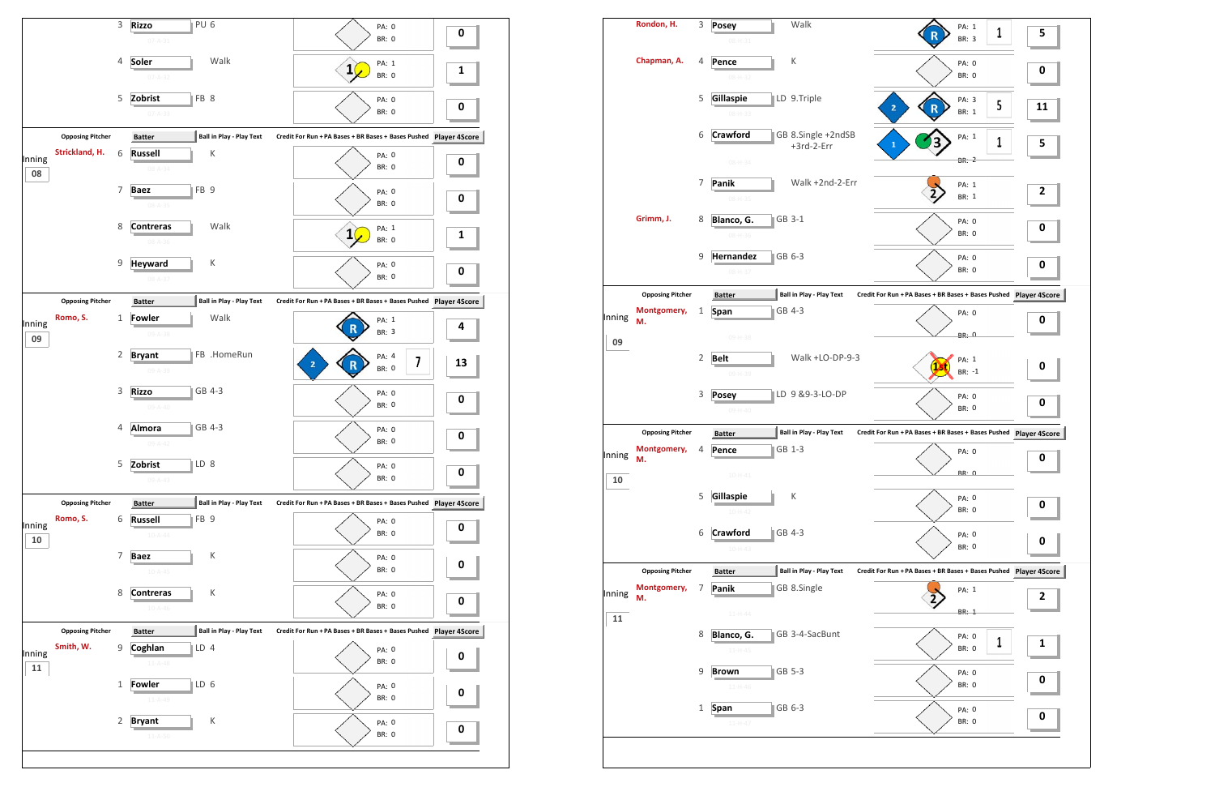

| Rondon, H.              | 3                       | <b>Posey</b>                  | Walk                                                        | PA: 1                                                                                                                                                                                                                                                                 | 5                                                                                                                                                                                                                                                |
|-------------------------|-------------------------|-------------------------------|-------------------------------------------------------------|-----------------------------------------------------------------------------------------------------------------------------------------------------------------------------------------------------------------------------------------------------------------------|--------------------------------------------------------------------------------------------------------------------------------------------------------------------------------------------------------------------------------------------------|
|                         |                         | $08 - H - 31$                 |                                                             | <b>BR: 3</b>                                                                                                                                                                                                                                                          |                                                                                                                                                                                                                                                  |
| Chapman, A.             | 4                       | Pence<br>$08 - H - 32$        | К                                                           | PA: 0<br><b>BR: 0</b>                                                                                                                                                                                                                                                 | 0                                                                                                                                                                                                                                                |
|                         | 5                       | Gillaspie<br>$08 - H - 33$    |                                                             | PA: 3<br>5<br>$\overline{\mathbf{2}}$<br>BR: 1                                                                                                                                                                                                                        | 11                                                                                                                                                                                                                                               |
|                         | 6                       | Crawford                      | +3rd-2-Err                                                  | PA: 1<br>3<br>1<br>$\mathbf{1}$                                                                                                                                                                                                                                       | 5                                                                                                                                                                                                                                                |
|                         |                         | $08 - H - 34$                 |                                                             | BR: 2                                                                                                                                                                                                                                                                 |                                                                                                                                                                                                                                                  |
|                         | 7                       | Panik<br>$08 - H - 35$        | Walk +2nd-2-Err                                             | PA: 1<br>BR: 1                                                                                                                                                                                                                                                        | $\overline{2}$                                                                                                                                                                                                                                   |
| Grimm, J.               | 8                       | Blanco, G.<br>$08 - H - 36$   |                                                             | PA: 0<br><b>BR: 0</b>                                                                                                                                                                                                                                                 | $\bf{0}$                                                                                                                                                                                                                                         |
|                         | 9                       | Hernandez                     |                                                             | PA: 0                                                                                                                                                                                                                                                                 | $\bf{0}$                                                                                                                                                                                                                                         |
|                         |                         |                               |                                                             |                                                                                                                                                                                                                                                                       |                                                                                                                                                                                                                                                  |
| Montgomery,<br>М.       | 1                       | Span                          |                                                             | PA: 0                                                                                                                                                                                                                                                                 | 0                                                                                                                                                                                                                                                |
|                         |                         | 09-H-38                       |                                                             | <b>BR: 0</b>                                                                                                                                                                                                                                                          |                                                                                                                                                                                                                                                  |
|                         |                         | 09-H-39                       |                                                             | PA: 1<br>11<br>BR: -1                                                                                                                                                                                                                                                 | $\bf{0}$                                                                                                                                                                                                                                         |
|                         | 3                       | <b>Posey</b><br>$09 - H - 40$ |                                                             | PA: 0<br><b>BR: 0</b>                                                                                                                                                                                                                                                 | $\bf{0}$                                                                                                                                                                                                                                         |
| <b>Opposing Pitcher</b> |                         | <b>Batter</b>                 |                                                             |                                                                                                                                                                                                                                                                       |                                                                                                                                                                                                                                                  |
| Montgomery,<br>М.       | 4                       | Pence                         |                                                             | PA: 0                                                                                                                                                                                                                                                                 | $\pmb{0}$                                                                                                                                                                                                                                        |
|                         |                         | $10 - H - 41$                 |                                                             |                                                                                                                                                                                                                                                                       |                                                                                                                                                                                                                                                  |
|                         | 5                       | Gillaspie<br>$10-H-42$        | К                                                           | PA: 0<br><b>BR: 0</b>                                                                                                                                                                                                                                                 | 0                                                                                                                                                                                                                                                |
|                         | 6                       | Crawford<br>$10 - H - 43$     |                                                             | PA: 0<br>BR: 0                                                                                                                                                                                                                                                        | 0                                                                                                                                                                                                                                                |
| <b>Opposing Pitcher</b> |                         | <b>Batter</b>                 |                                                             |                                                                                                                                                                                                                                                                       |                                                                                                                                                                                                                                                  |
| Montgomery,<br>M.       | 7                       | Panik                         |                                                             | PA: 1                                                                                                                                                                                                                                                                 | $\overline{2}$                                                                                                                                                                                                                                   |
|                         |                         | $11 - H - 44$                 |                                                             | BR: 1                                                                                                                                                                                                                                                                 |                                                                                                                                                                                                                                                  |
|                         |                         | $11 - H - 45$                 |                                                             | 1<br>BR: 0                                                                                                                                                                                                                                                            | 1                                                                                                                                                                                                                                                |
|                         |                         | <b>Brown</b>                  | GB 5-3                                                      | PA: 0                                                                                                                                                                                                                                                                 |                                                                                                                                                                                                                                                  |
|                         | 9                       | $11 - H - 46$                 |                                                             | BR: 0                                                                                                                                                                                                                                                                 | $\bf{0}$                                                                                                                                                                                                                                         |
|                         | <b>Opposing Pitcher</b> | $\overline{2}$<br>8           | $08 - H - 37$<br><b>Batter</b><br><b>Belt</b><br>Blanco, G. | LD 9.Triple<br>GB 8.Single +2ndSB<br>GB 3-1<br>GB 6-3<br><b>Ball in Play - Play Text</b><br>GB 4-3<br>Walk +LO-DP-9-3<br> LD 9 & 9-3-LO-DP<br><b>Ball in Play - Play Text</b><br>GB 1-3<br>GB 4-3<br><b>Ball in Play - Play Text</b><br>GB 8.Single<br>GB 3-4-SacBunt | 1<br><b>BR: 0</b><br>Credit For Run + PA Bases + BR Bases + Bases Pushed Player 4So<br>Credit For Run + PA Bases + BR Bases + Bases Pushed Player 4So<br><b>BR: 0</b><br>Credit For Run + PA Bases + BR Bases + Bases Pushed Player 4So<br>PA: 0 |